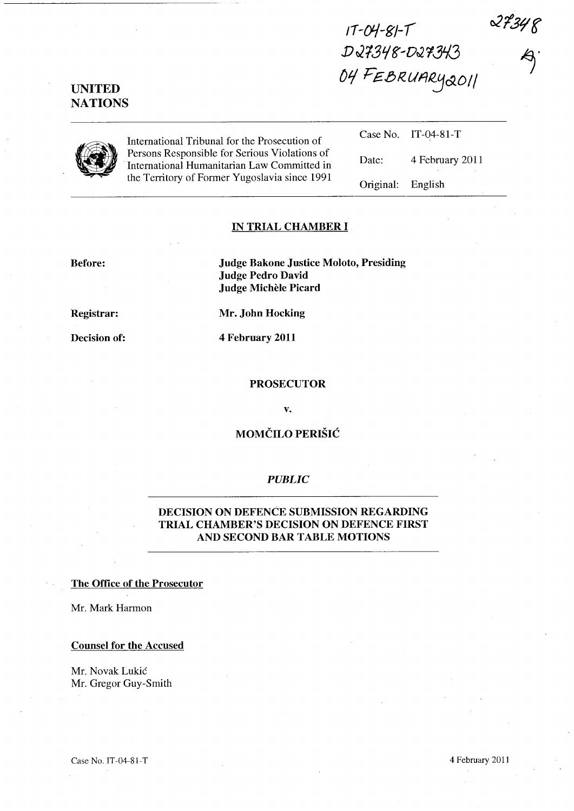**11-[jf-g/-1**  1) *J. '1:3 '/t* **..** *DtJ,* **'13'13**  *{)tj* **F£.8/(uI1Rj***cX***o//** 

 $27348$ 

## **UNITED NATIONS**

International Tribunal for the Prosecution of Persons Responsible for Serious Violations of International Humanitarian Law Committed in the Territory of Former Yugoslavia since 1991 Case No. IT-04-81-T

Date: 4 February 2011

Original: English

### **IN TRIAL CHAMBER I**

**Before:** 

**Judge Bakone Justice Moloto, Presiding Judge Pedro David Judge Michèle Picard** 

**Registrar:** 

**Decision of:** 

**Mr. John Hocking** 

**4 February 2011** 

#### **PROSECUTOR**

v.

## **MOMCILO PERISH:**

### *PUBLIC*

### **DECISION ON DEFENCE SUBMISSION REGARDING TRIAL CHAMBER'S DECISION ON DEFENCE FIRST AND SECOND BAR TABLE MOTIONS**

#### **The Office of the Prosecutor**

Mr. Mark Harmon

### **Counsel for the Accused**

Mr. Novak Lukic Mr. Gregor Guy-Smith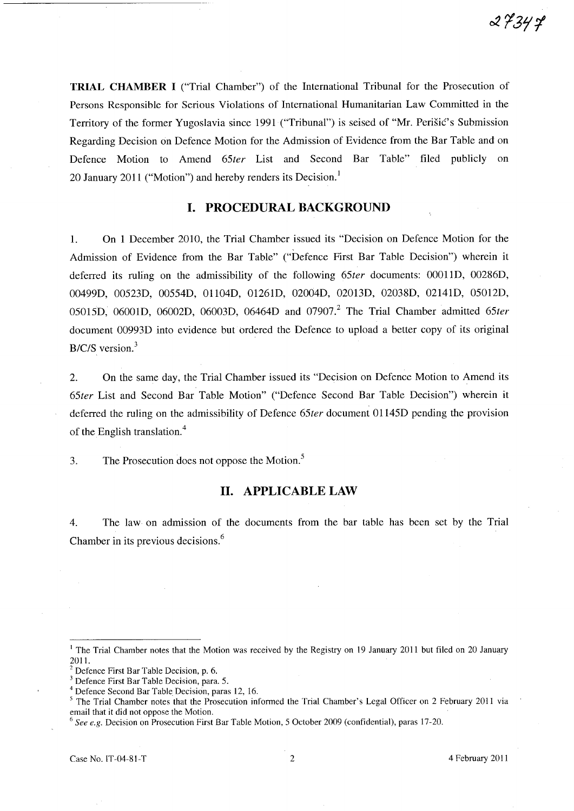**TRIAL CHAMBER I** ("Trial Chamber") of the International Tribunal for the Prosecution of Persons Responsible for Serious Violations of International Humanitarian Law Committed in the Territory of the former Yugoslavia since 1991 ("Tribunal") is seised of "Mr. Perisic's Submission Regarding Decision on Defence Motion for the Admission of Evidence from the Bar Table and on Defence Motion to Amend *65ter* List and Second Bar Table" filed publicly on 20 January 2011 ("Motion") and hereby renders its Decision.<sup>1</sup>

### **I.** PROCEDURAL BACKGROUND

1. On 1 December 2010, the Trial Chamber issued its "Decision on Defence Motion for the Admission of Evidence from the Bar Table" ("Defence First Bar Table Decision") wherein it deferred its ruling on the admissibility of the following *65ter* documents: 00011D, 00286D, 00499D, 00523D, 00554D, 01l04D, 01261D, 02004D, 02013D, 02038D, 02141D, 05012D, 05015D, 06001D, 06002D, 06003D, 06464D and 07907. <sup>2</sup>The Trial Chamber admitted *65ter*  document 00993D into evidence but ordered the Defence to upload a better copy of its original *B/c/S* version.<sup>3</sup>

2. On the same day, the Trial Chamber issued its "Decision on Defence Motion to Amend its *65ter* List and Second Bar Table Motion" ("Defence Second Bar Table Decision") wherein it deferred the ruling on the admissibility of Defence *65ter* document 01145D pending the provision of the English translation.<sup>4</sup>

3. The Prosecution does not oppose the Motion.<sup>5</sup>

### **11. APPLICABLE LAW**

4. The law on admission of the documents from the bar table has been set by the Trial Chamber in its previous decisions.<sup>6</sup>

<sup>&</sup>lt;sup>1</sup> The Trial Chamber notes that the Motion was received by the Registry on 19 January 2011 but filed on 20 January 2011.

<sup>2</sup>Defence First Bar Table Decision, p. 6.

<sup>&</sup>lt;sup>3</sup> Defence First Bar Table Decision, para. 5.

<sup>4</sup> Defence Second Bar Table Decision, paras 12, 16.

<sup>&</sup>lt;sup>5</sup> The Trial Chamber notes that the Prosecution informed the Trial Chamber's Legal Officer on 2 February 2011 via email that it did not oppose the Motion.

*<sup>6</sup> See e.g.* Decision on Prosecution First Bar Table Motion, 5 October 2009 (confidential), paras 17-20.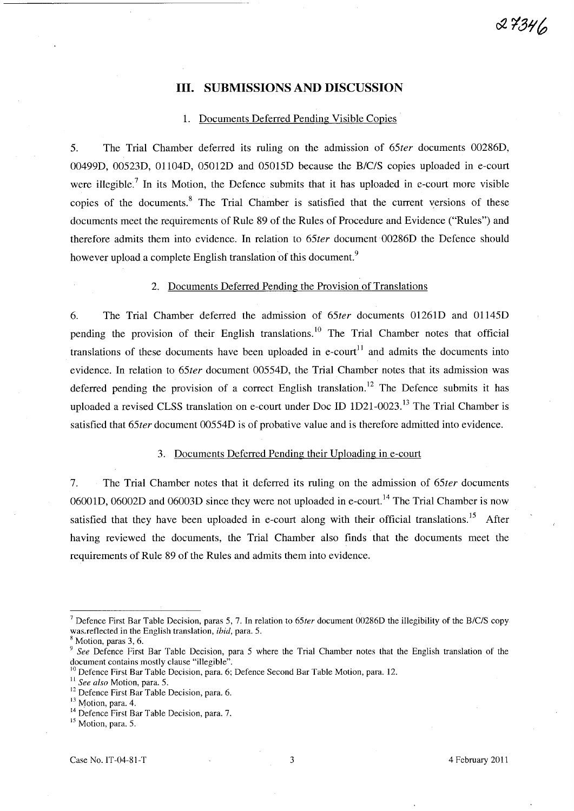### **Ill. SUBMISSIONS AND DISCUSSION**

#### 1. Documents Deferred Pending Visible Copies

5. The Trial Chamber deferred its ruling on the admission of *65ter* documents 00286D, 00499D, 00523D, 0l104D, 050l2D and 05015D because the *B/CIS* copies uploaded in e-court were illegible.? **In** its Motion, the Defence submits that it has uploaded in e-court more visible copies of the documents.<sup>8</sup> The Trial Chamber is satisfied that the current versions of these documents meet the requirements of Rule 89 of the Rules of Procedure and Evidence ("Rules") and therefore admits them into evidence. In relation to 65ter document 00286D the Defence should however upload a complete English translation of this document.<sup>9</sup>

#### 2. Documents Deferred Pending the Provision of Translations

6. The Trial Chamber deferred the admission of *65ter* documents 01261D and 01145D pending the provision of their English translations.<sup>10</sup> The Trial Chamber notes that official translations of these documents have been uploaded in e-court<sup>11</sup> and admits the documents into evidence. **In** relation to *65ter* document 00554D, the Trial Chamber notes that its admission was deferred pending the provision of a correct English translation.<sup>12</sup> The Defence submits it has uploaded a revised CLSS translation on e-court under Doc ID 1D21-0023.<sup>13</sup> The Trial Chamber is satisfied that *65ter* document 00554D is of probative value and is therefore admitted into evidence.

### 3. Documents Deferred Pending their Uploading in e-court

7. The Trial Chamber notes that it deferred its ruling on the admission of *65ter* documents 06001D, 06002D and 06003D since they were not uploaded in e-court.<sup>14</sup> The Trial Chamber is now satisfied that they have been uploaded in e-court along with their official translations.<sup>15</sup> After having reviewed the documents, the Trial Chamber also finds that the documents meet the requirements of Rule 89 of the Rules and admits them into evidence.

<sup>7</sup> Defence First Bar Table Decision, paras 5, 7. In relation to *65ter* document 00286D the illegibility of the *B/C/S* copy was. reflected in the English translation, *ibid*, para. 5.

<sup>8</sup> Motion, paras 3, 6.

<sup>&</sup>lt;sup>9</sup> See Defence First Bar Table Decision, para 5 where the Trial Chamber notes that the English translation of the document contains mostly clause "illegible".

<sup>&</sup>lt;sup>10</sup> Defence First Bar Table Decision, para. 6; Defence Second Bar Table Motion, para. 12.

<sup>11</sup>*See also* Motion, para. 5.

<sup>&</sup>lt;sup>12</sup> Defence First Bar Table Decision, para. 6.

<sup>&</sup>lt;sup>13</sup> Motion, para. 4.

<sup>&</sup>lt;sup>14</sup> Defence First Bar Table Decision, para. 7.

<sup>&</sup>lt;sup>15</sup> Motion, para. 5.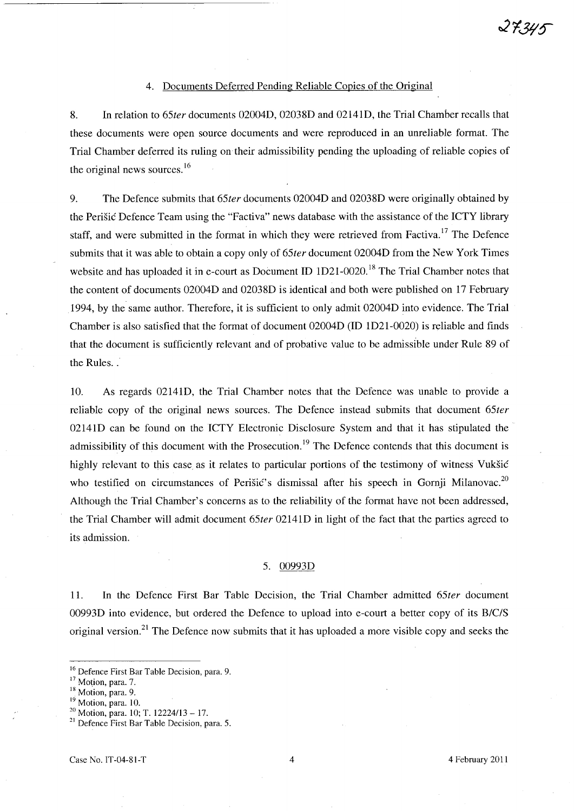#### 4. Documents Deferred Pending Reliable Copies of the Original

8. In relation to *65ter* documents 02004D, 02038D and 02141D, the Trial Chamber recalls that these documents were open source documents and were reproduced in an unreliable format. The Trial Chamber deferred its ruling on their admissibility pending the uploading of reliable copies of the original news sources. $^{16}$ 

9. The Defence submits that *65ter* documents 02004D and 02038D were originally obtained by the Perišić Defence Team using the "Factiva" news database with the assistance of the ICTY library staff, and were submitted in the format in which they were retrieved from Factiva.<sup>17</sup> The Defence submits that it was able to obtain a copy only of *65ter* document 02004D from the New York Times website and has uploaded it in e-court as Document ID 1D21-0020.<sup>18</sup> The Trial Chamber notes that the content of documents 02004D and 02038D is identical and both were published on 17 February 1994, by the same author. Therefore, it is sufficient to only admit 02004D into evidence. The Trial Chamber is also satisfied that the format of document 02004D (ID 1D21-0020) is reliable and finds that the document is sufficiently relevant and of probative value to be admissible under Rule 89 of the Rules.

10. As regards 02141D, the Trial Chamber notes that the Defence was unable to provide a reliable copy of the original news sources. The Defence instead submits that document *65ter*  02141D can be found on the ICTY Electronic Disclosure System and that it has stipulated the admissibility of this document with the Prosecution.<sup>19</sup> The Defence contends that this document is highly relevant to this case as it relates to particular portions of the testimony of witness Vukšić who testified on circumstances of Perišić's dismissal after his speech in Gornji Milanovac.<sup>20</sup> Although the Trial Chamber's concerns as to the reliability of the format have not been addressed, the Trial Chamber will admit document *65ter* 02141D in light of the fact that the parties agreed to its admission.

#### 5. 00993D

11. In the Defence First Bar Table Decision, the Trial Chamber admitted *65ter* document 00993D into evidence, but ordered the Defence to upload into e-court a better copy of its *B/c/S*  original version.<sup>21</sup> The Defence now submits that it has uploaded a more visible copy and seeks the

<sup>16</sup> Defence First Bar Table Decision, para. 9.

<sup>&</sup>lt;sup>17</sup> Motion, para. 7.

<sup>&</sup>lt;sup>18</sup> Motion, para. 9.

<sup>&</sup>lt;sup>19</sup> Motion, para. 10.

 $20$  Motion, para. 10; T. 12224/13 - 17.

<sup>&</sup>lt;sup>21</sup> Defence First Bar Table Decision, para. 5.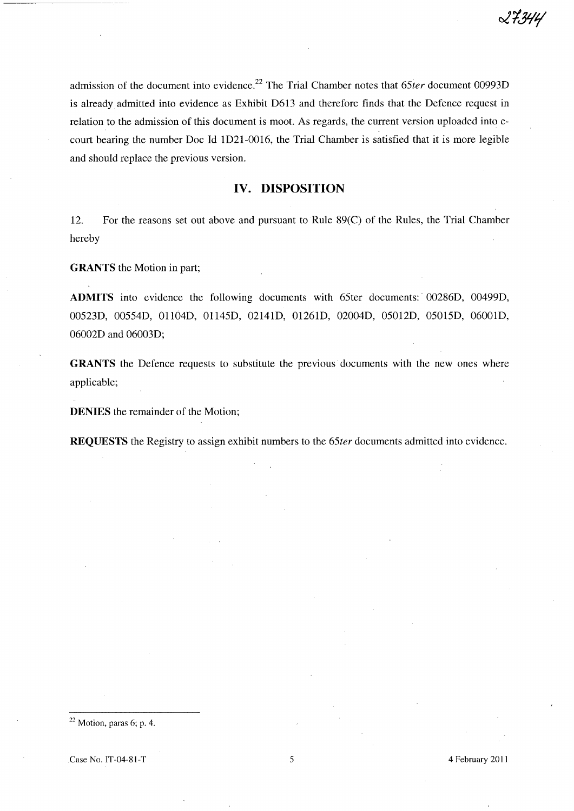LF 344

admission of the document into evidence.<sup>22</sup> The Trial Chamber notes that 65ter document 00993D is already admitted into evidence as Exhibit D613 and therefore finds that the Defence request in relation to the admission of this document is moot. As regards, the current version uploaded into ecourt bearing the number Doc Id 1D21-00l6, the Trial Chamber is satisfied that it is more legible and should replace the previous version.

### **IV. DISPOSITION**

12. For the reasons set out above and pursuant to Rule 89(C) of the Rules, the Trial Chamber hereby

GRANTS the Motion in part;

ADMITS into evidence the following documents with 6Ster documents: 00286D, 00499D, *OOS23D, OOSS4D,* Ol104D, O1l4SD, 02141D, 0l261D, 02004D, *OS012D, OSOlSD,* 0600lD, 06002D and 06003D;

GRANTS the Defence requests to substitute the previous documents with the new ones where applicable;

DENIES the remainder of the Motion;

REQUESTS the Registry to assign exhibit numbers to the *6Ster* documents admitted into evidence.

 $22$  Motion, paras 6; p. 4.